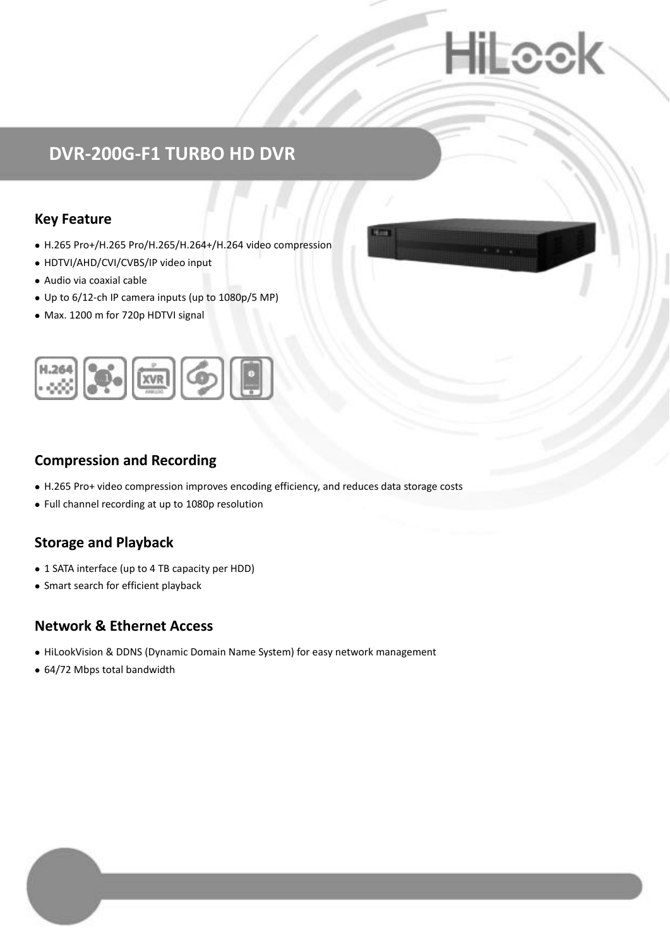# Loc

## **DVR-200G-F1 TURBO HD DVR**

### **Key Feature**

- H.265 Pro+/H.265 Pro/H.265/H.264+/H.264 video compression
- HDTVI/AHD/CVI/CVBS/IP video input
- Audio via coaxial cable
- Up to 6/12-ch IP camera inputs (up to 1080p/5 MP)
- Max. 1200 m for 720p HDTVI signal



### **Compression and Recording**

- H.265 Pro+ video compression improves encoding efficiency, and reduces data storage costs
- Full channel recording at up to 1080p resolution

### **Storage and Playback**

- 1 SATA interface (up to 4 TB capacity per HDD)
- Smart search for efficient playback

#### **Network & Ethernet Access**

- HiLookVision & DDNS (Dynamic Domain Name System) for easy network management
- 64/72 Mbps total bandwidth

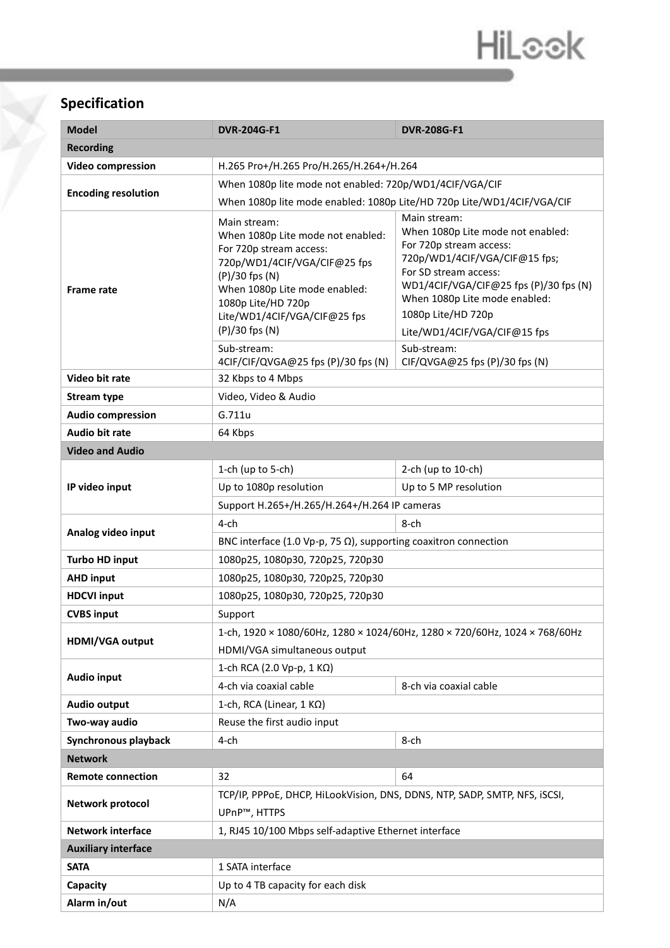# HiLook

### **Specification**

Y

| <b>Model</b>               | <b>DVR-204G-F1</b>                                                                                                                                                                                                                                     | <b>DVR-208G-F1</b>                                                                                                                                                                                                                                                                     |  |  |  |
|----------------------------|--------------------------------------------------------------------------------------------------------------------------------------------------------------------------------------------------------------------------------------------------------|----------------------------------------------------------------------------------------------------------------------------------------------------------------------------------------------------------------------------------------------------------------------------------------|--|--|--|
| <b>Recording</b>           |                                                                                                                                                                                                                                                        |                                                                                                                                                                                                                                                                                        |  |  |  |
| <b>Video compression</b>   | H.265 Pro+/H.265 Pro/H.265/H.264+/H.264                                                                                                                                                                                                                |                                                                                                                                                                                                                                                                                        |  |  |  |
| <b>Encoding resolution</b> | When 1080p lite mode not enabled: 720p/WD1/4CIF/VGA/CIF                                                                                                                                                                                                |                                                                                                                                                                                                                                                                                        |  |  |  |
|                            | When 1080p lite mode enabled: 1080p Lite/HD 720p Lite/WD1/4CIF/VGA/CIF                                                                                                                                                                                 |                                                                                                                                                                                                                                                                                        |  |  |  |
| <b>Frame rate</b>          | Main stream:<br>When 1080p Lite mode not enabled:<br>For 720p stream access:<br>720p/WD1/4CIF/VGA/CIF@25 fps<br>(P)/30 fps (N)<br>When 1080p Lite mode enabled:<br>1080p Lite/HD 720p<br>Lite/WD1/4CIF/VGA/CIF@25 fps<br>(P)/30 fps (N)<br>Sub-stream: | Main stream:<br>When 1080p Lite mode not enabled:<br>For 720p stream access:<br>720p/WD1/4CIF/VGA/CIF@15 fps;<br>For SD stream access:<br>WD1/4CIF/VGA/CIF@25 fps (P)/30 fps (N)<br>When 1080p Lite mode enabled:<br>1080p Lite/HD 720p<br>Lite/WD1/4CIF/VGA/CIF@15 fps<br>Sub-stream: |  |  |  |
|                            | 4CIF/CIF/QVGA@25 fps (P)/30 fps (N)                                                                                                                                                                                                                    | CIF/QVGA@25 fps (P)/30 fps (N)                                                                                                                                                                                                                                                         |  |  |  |
| Video bit rate             | 32 Kbps to 4 Mbps                                                                                                                                                                                                                                      |                                                                                                                                                                                                                                                                                        |  |  |  |
| <b>Stream type</b>         | Video, Video & Audio                                                                                                                                                                                                                                   |                                                                                                                                                                                                                                                                                        |  |  |  |
| <b>Audio compression</b>   | G.711u                                                                                                                                                                                                                                                 |                                                                                                                                                                                                                                                                                        |  |  |  |
| <b>Audio bit rate</b>      | 64 Kbps                                                                                                                                                                                                                                                |                                                                                                                                                                                                                                                                                        |  |  |  |
| <b>Video and Audio</b>     |                                                                                                                                                                                                                                                        |                                                                                                                                                                                                                                                                                        |  |  |  |
|                            | 1-ch (up to 5-ch)                                                                                                                                                                                                                                      | 2-ch (up to 10-ch)                                                                                                                                                                                                                                                                     |  |  |  |
| IP video input             | Up to 1080p resolution                                                                                                                                                                                                                                 | Up to 5 MP resolution                                                                                                                                                                                                                                                                  |  |  |  |
|                            | Support H.265+/H.265/H.264+/H.264 IP cameras                                                                                                                                                                                                           |                                                                                                                                                                                                                                                                                        |  |  |  |
| Analog video input         | $4$ -ch                                                                                                                                                                                                                                                | 8-ch                                                                                                                                                                                                                                                                                   |  |  |  |
|                            | BNC interface (1.0 Vp-p, 75 $\Omega$ ), supporting coaxitron connection                                                                                                                                                                                |                                                                                                                                                                                                                                                                                        |  |  |  |
| <b>Turbo HD input</b>      | 1080p25, 1080p30, 720p25, 720p30                                                                                                                                                                                                                       |                                                                                                                                                                                                                                                                                        |  |  |  |
| <b>AHD input</b>           | 1080p25, 1080p30, 720p25, 720p30                                                                                                                                                                                                                       |                                                                                                                                                                                                                                                                                        |  |  |  |
| <b>HDCVI input</b>         | 1080p25, 1080p30, 720p25, 720p30                                                                                                                                                                                                                       |                                                                                                                                                                                                                                                                                        |  |  |  |
| <b>CVBS input</b>          | Support                                                                                                                                                                                                                                                |                                                                                                                                                                                                                                                                                        |  |  |  |
| HDMI/VGA output            | 1-ch, 1920 × 1080/60Hz, 1280 × 1024/60Hz, 1280 × 720/60Hz, 1024 × 768/60Hz<br>HDMI/VGA simultaneous output                                                                                                                                             |                                                                                                                                                                                                                                                                                        |  |  |  |
| Audio input                | 1-ch RCA (2.0 Vp-p, 1 KΩ)                                                                                                                                                                                                                              |                                                                                                                                                                                                                                                                                        |  |  |  |
|                            | 4-ch via coaxial cable                                                                                                                                                                                                                                 | 8-ch via coaxial cable                                                                                                                                                                                                                                                                 |  |  |  |
| Audio output               | 1-ch, RCA (Linear, 1 KΩ)                                                                                                                                                                                                                               |                                                                                                                                                                                                                                                                                        |  |  |  |
| Two-way audio              | Reuse the first audio input                                                                                                                                                                                                                            |                                                                                                                                                                                                                                                                                        |  |  |  |
| Synchronous playback       | 4-ch                                                                                                                                                                                                                                                   | 8-ch                                                                                                                                                                                                                                                                                   |  |  |  |
| <b>Network</b>             |                                                                                                                                                                                                                                                        |                                                                                                                                                                                                                                                                                        |  |  |  |
| <b>Remote connection</b>   | 32                                                                                                                                                                                                                                                     | 64                                                                                                                                                                                                                                                                                     |  |  |  |
| Network protocol           | TCP/IP, PPPoE, DHCP, HiLookVision, DNS, DDNS, NTP, SADP, SMTP, NFS, iSCSI,<br>UPnP™, HTTPS                                                                                                                                                             |                                                                                                                                                                                                                                                                                        |  |  |  |
| <b>Network interface</b>   | 1, RJ45 10/100 Mbps self-adaptive Ethernet interface                                                                                                                                                                                                   |                                                                                                                                                                                                                                                                                        |  |  |  |
| <b>Auxiliary interface</b> |                                                                                                                                                                                                                                                        |                                                                                                                                                                                                                                                                                        |  |  |  |
| <b>SATA</b>                | 1 SATA interface                                                                                                                                                                                                                                       |                                                                                                                                                                                                                                                                                        |  |  |  |
| Capacity                   | Up to 4 TB capacity for each disk                                                                                                                                                                                                                      |                                                                                                                                                                                                                                                                                        |  |  |  |
| Alarm in/out               | N/A                                                                                                                                                                                                                                                    |                                                                                                                                                                                                                                                                                        |  |  |  |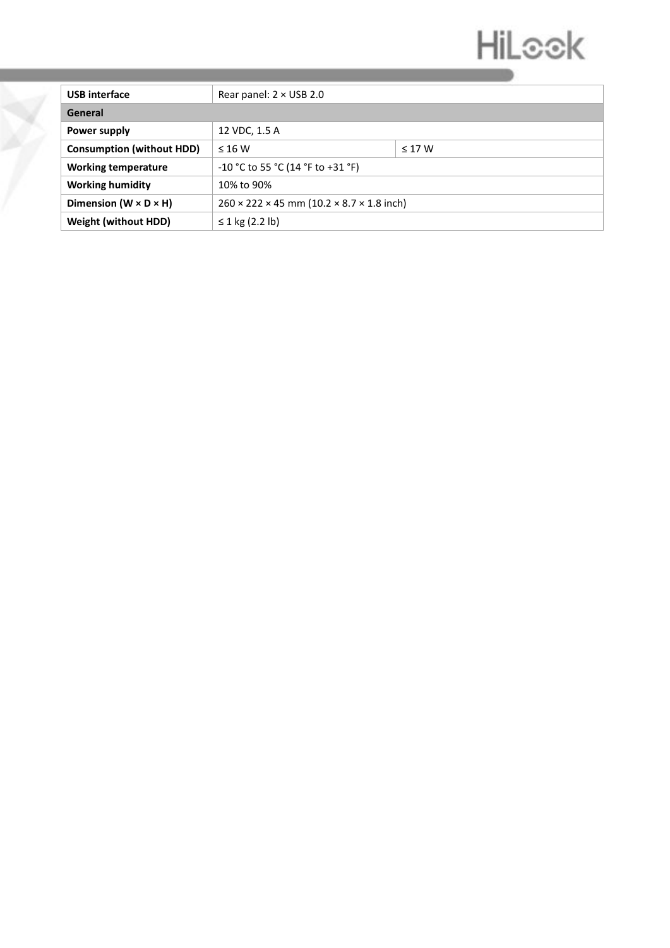# HiLook

| <b>USB</b> interface                | Rear panel: $2 \times$ USB 2.0                                      |             |  |  |
|-------------------------------------|---------------------------------------------------------------------|-------------|--|--|
| General                             |                                                                     |             |  |  |
| Power supply                        | 12 VDC, 1.5 A                                                       |             |  |  |
| <b>Consumption (without HDD)</b>    | $\leq 16$ W                                                         | $\leq$ 17 W |  |  |
| <b>Working temperature</b>          | $-10$ °C to 55 °C (14 °F to +31 °F)                                 |             |  |  |
| <b>Working humidity</b>             | 10% to 90%                                                          |             |  |  |
| Dimension ( $W \times D \times H$ ) | $260 \times 222 \times 45$ mm (10.2 $\times$ 8.7 $\times$ 1.8 inch) |             |  |  |
| <b>Weight (without HDD)</b>         | ≤ 1 kg (2.2 lb)                                                     |             |  |  |

Y